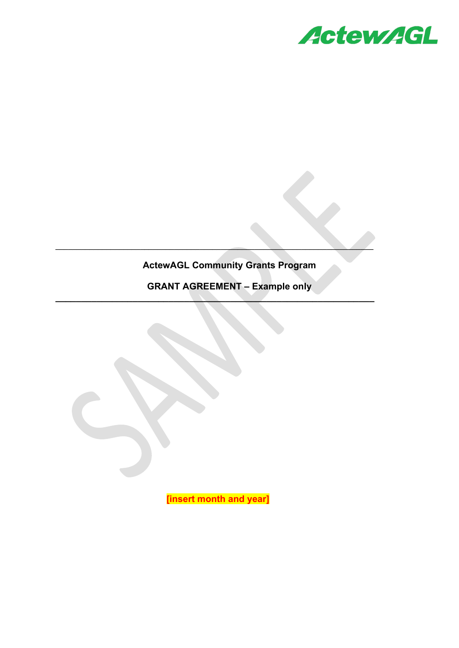

# **ActewAGL Community Grants Program**

**\_\_\_\_\_\_\_\_\_\_\_\_\_\_\_\_\_\_\_\_\_\_\_\_\_\_\_\_\_\_\_\_\_\_\_\_\_\_\_\_\_\_\_\_\_\_\_\_\_\_\_\_\_\_\_\_\_\_\_\_\_\_\_\_\_\_\_\_\_\_\_\_\_\_\_**

**\_\_\_\_\_\_\_\_\_\_\_\_\_\_\_\_\_\_\_\_\_\_\_\_\_\_\_\_\_\_\_\_\_\_\_\_\_\_\_\_\_\_\_\_\_\_\_\_\_\_\_\_\_\_\_\_\_\_\_\_\_\_**

**GRANT AGREEMENT – Example only**

**[insert month and year]**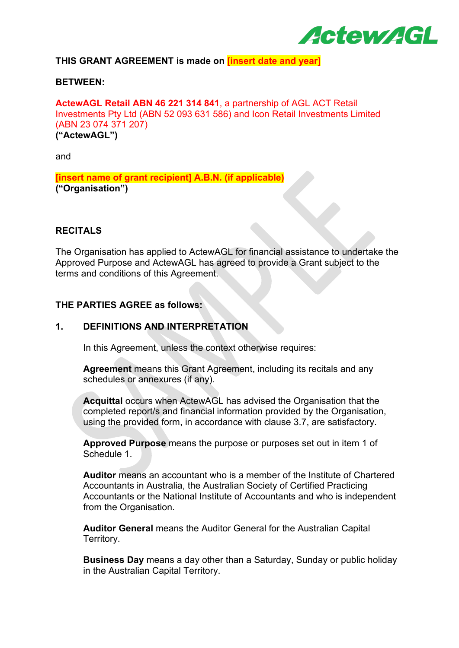

# **THIS GRANT AGREEMENT is made on [insert date and year]**

#### **BETWEEN:**

**ActewAGL Retail ABN 46 221 314 841**, a partnership of AGL ACT Retail Investments Pty Ltd (ABN 52 093 631 586) and Icon Retail Investments Limited (ABN 23 074 371 207) **("ActewAGL")**

and

**[insert name of grant recipient] A.B.N. (if applicable) ("Organisation")**

#### **RECITALS**

The Organisation has applied to ActewAGL for financial assistance to undertake the Approved Purpose and ActewAGL has agreed to provide a Grant subject to the terms and conditions of this Agreement.

#### **THE PARTIES AGREE as follows:**

#### **1. DEFINITIONS AND INTERPRETATION**

In this Agreement, unless the context otherwise requires:

**Agreement** means this Grant Agreement, including its recitals and any schedules or annexures (if any).

**Acquittal** occurs when ActewAGL has advised the Organisation that the completed report/s and financial information provided by the Organisation, using the provided form, in accordance with clause 3.7, are satisfactory.

**Approved Purpose** means the purpose or purposes set out in item 1 of Schedule 1.

**Auditor** means an accountant who is a member of the Institute of Chartered Accountants in Australia, the Australian Society of Certified Practicing Accountants or the National Institute of Accountants and who is independent from the Organisation.

**Auditor General** means the Auditor General for the Australian Capital Territory.

**Business Day** means a day other than a Saturday, Sunday or public holiday in the Australian Capital Territory.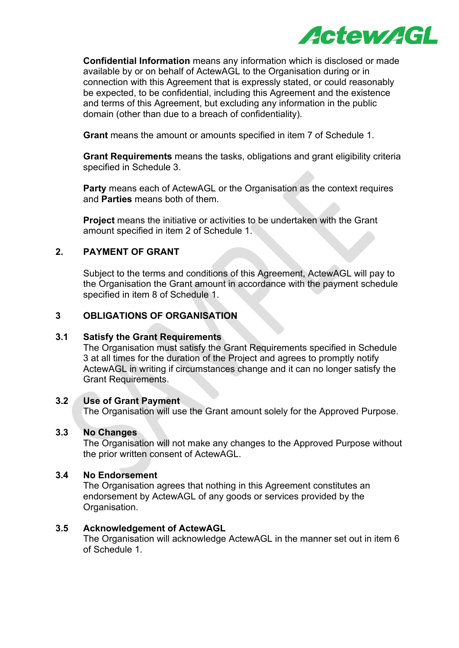

**Confidential Information** means any information which is disclosed or made available by or on behalf of ActewAGL to the Organisation during or in connection with this Agreement that is expressly stated, or could reasonably be expected, to be confidential, including this Agreement and the existence and terms of this Agreement, but excluding any information in the public domain (other than due to a breach of confidentiality).

**Grant** means the amount or amounts specified in item 7 of Schedule 1.

**Grant Requirements** means the tasks, obligations and grant eligibility criteria specified in Schedule 3.

**Party** means each of ActewAGL or the Organisation as the context requires and **Parties** means both of them.

**Project** means the initiative or activities to be undertaken with the Grant amount specified in item 2 of Schedule 1.

# **2. PAYMENT OF GRANT**

Subject to the terms and conditions of this Agreement, ActewAGL will pay to the Organisation the Grant amount in accordance with the payment schedule specified in item 8 of Schedule 1.

# **3 OBLIGATIONS OF ORGANISATION**

# **3.1 Satisfy the Grant Requirements**

The Organisation must satisfy the Grant Requirements specified in Schedule 3 at all times for the duration of the Project and agrees to promptly notify ActewAGL in writing if circumstances change and it can no longer satisfy the Grant Requirements.

# **3.2 Use of Grant Payment**

The Organisation will use the Grant amount solely for the Approved Purpose.

# **3.3 No Changes**

The Organisation will not make any changes to the Approved Purpose without the prior written consent of ActewAGL.

# **3.4 No Endorsement**

The Organisation agrees that nothing in this Agreement constitutes an endorsement by ActewAGL of any goods or services provided by the Organisation.

# **3.5 Acknowledgement of ActewAGL**

The Organisation will acknowledge ActewAGL in the manner set out in item 6 of Schedule 1.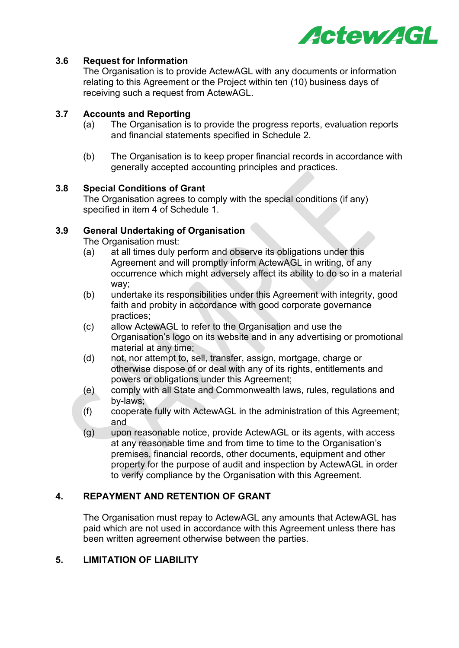

# **3.6 Request for Information**

The Organisation is to provide ActewAGL with any documents or information relating to this Agreement or the Project within ten (10) business days of receiving such a request from ActewAGL.

# **3.7 Accounts and Reporting**

- (a) The Organisation is to provide the progress reports, evaluation reports and financial statements specified in Schedule 2.
- (b) The Organisation is to keep proper financial records in accordance with generally accepted accounting principles and practices.

# **3.8 Special Conditions of Grant**

The Organisation agrees to comply with the special conditions (if any) specified in item 4 of Schedule 1.

# **3.9 General Undertaking of Organisation**

The Organisation must:

- (a) at all times duly perform and observe its obligations under this Agreement and will promptly inform ActewAGL in writing, of any occurrence which might adversely affect its ability to do so in a material way;
- (b) undertake its responsibilities under this Agreement with integrity, good faith and probity in accordance with good corporate governance practices;
- (c) allow ActewAGL to refer to the Organisation and use the Organisation's logo on its website and in any advertising or promotional material at any time;
- (d) not, nor attempt to, sell, transfer, assign, mortgage, charge or otherwise dispose of or deal with any of its rights, entitlements and powers or obligations under this Agreement;
- (e) comply with all State and Commonwealth laws, rules, regulations and by-laws;
- (f) cooperate fully with ActewAGL in the administration of this Agreement; and
- (g) upon reasonable notice, provide ActewAGL or its agents, with access at any reasonable time and from time to time to the Organisation's premises, financial records, other documents, equipment and other property for the purpose of audit and inspection by ActewAGL in order to verify compliance by the Organisation with this Agreement.

# **4. REPAYMENT AND RETENTION OF GRANT**

The Organisation must repay to ActewAGL any amounts that ActewAGL has paid which are not used in accordance with this Agreement unless there has been written agreement otherwise between the parties.

# **5. LIMITATION OF LIABILITY**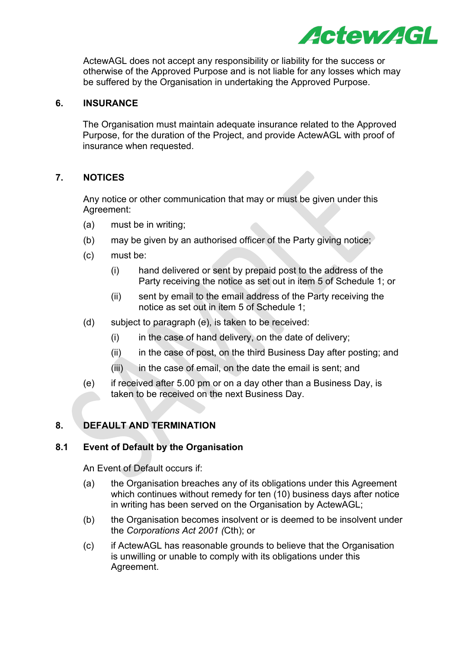

ActewAGL does not accept any responsibility or liability for the success or otherwise of the Approved Purpose and is not liable for any losses which may be suffered by the Organisation in undertaking the Approved Purpose.

# **6. INSURANCE**

The Organisation must maintain adequate insurance related to the Approved Purpose, for the duration of the Project, and provide ActewAGL with proof of insurance when requested.

# **7. NOTICES**

Any notice or other communication that may or must be given under this Agreement:

- (a) must be in writing;
- (b) may be given by an authorised officer of the Party giving notice;
- (c) must be:
	- (i) hand delivered or sent by prepaid post to the address of the Party receiving the notice as set out in item 5 of Schedule 1; or
	- (ii) sent by email to the email address of the Party receiving the notice as set out in item 5 of Schedule 1;
- (d) subject to paragraph (e), is taken to be received:
	- $(i)$  in the case of hand delivery, on the date of delivery;
	- (ii) in the case of post, on the third Business Day after posting; and
	- $(iii)$  in the case of email, on the date the email is sent; and
- (e) if received after 5.00 pm or on a day other than a Business Day, is taken to be received on the next Business Day.

# **8. DEFAULT AND TERMINATION**

#### **8.1 Event of Default by the Organisation**

An Event of Default occurs if:

- (a) the Organisation breaches any of its obligations under this Agreement which continues without remedy for ten (10) business days after notice in writing has been served on the Organisation by ActewAGL;
- (b) the Organisation becomes insolvent or is deemed to be insolvent under the *Corporations Act 2001 (*Cth); or
- (c) if ActewAGL has reasonable grounds to believe that the Organisation is unwilling or unable to comply with its obligations under this Agreement.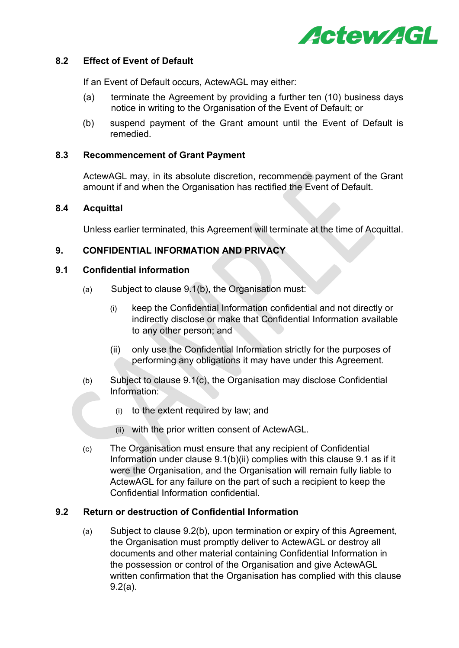

#### **8.2 Effect of Event of Default**

If an Event of Default occurs, ActewAGL may either:

- (a) terminate the Agreement by providing a further ten (10) business days notice in writing to the Organisation of the Event of Default; or
- (b) suspend payment of the Grant amount until the Event of Default is remedied.

#### **8.3 Recommencement of Grant Payment**

ActewAGL may, in its absolute discretion, recommence payment of the Grant amount if and when the Organisation has rectified the Event of Default.

#### **8.4 Acquittal**

Unless earlier terminated, this Agreement will terminate at the time of Acquittal.

# **9. CONFIDENTIAL INFORMATION AND PRIVACY**

# **9.1 Confidential information**

- (a) Subject to clause 9.1(b), the Organisation must:
	- (i) keep the Confidential Information confidential and not directly or indirectly disclose or make that Confidential Information available to any other person; and
	- (ii) only use the Confidential Information strictly for the purposes of performing any obligations it may have under this Agreement.
- (b) Subject to clause 9.1(c), the Organisation may disclose Confidential Information:
	- (i) to the extent required by law; and
	- (ii) with the prior written consent of ActewAGL.
- (c) The Organisation must ensure that any recipient of Confidential Information under clause 9.1(b)(ii) complies with this clause 9.1 as if it were the Organisation, and the Organisation will remain fully liable to ActewAGL for any failure on the part of such a recipient to keep the Confidential Information confidential.

# **9.2 Return or destruction of Confidential Information**

(a) Subject to clause 9.2(b), upon termination or expiry of this Agreement, the Organisation must promptly deliver to ActewAGL or destroy all documents and other material containing Confidential Information in the possession or control of the Organisation and give ActewAGL written confirmation that the Organisation has complied with this clause 9.2(a).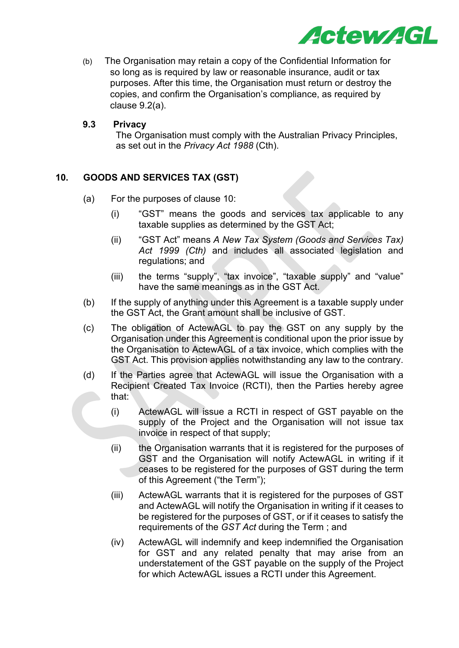

(b) The Organisation may retain a copy of the Confidential Information for so long as is required by law or reasonable insurance, audit or tax purposes. After this time, the Organisation must return or destroy the copies, and confirm the Organisation's compliance, as required by clause 9.2(a).

# **9.3 Privacy**

The Organisation must comply with the Australian Privacy Principles, as set out in the *Privacy Act 1988* (Cth).

# **10. GOODS AND SERVICES TAX (GST)**

- (a) For the purposes of clause 10:
	- (i) "GST" means the goods and services tax applicable to any taxable supplies as determined by the GST Act;
	- (ii) "GST Act" means *A New Tax System (Goods and Services Tax) Act 1999 (Cth)* and includes all associated legislation and regulations; and
	- (iii) the terms "supply", "tax invoice", "taxable supply" and "value" have the same meanings as in the GST Act.
- (b) If the supply of anything under this Agreement is a taxable supply under the GST Act, the Grant amount shall be inclusive of GST.
- (c) The obligation of ActewAGL to pay the GST on any supply by the Organisation under this Agreement is conditional upon the prior issue by the Organisation to ActewAGL of a tax invoice, which complies with the GST Act. This provision applies notwithstanding any law to the contrary.
- (d) If the Parties agree that ActewAGL will issue the Organisation with a Recipient Created Tax Invoice (RCTI), then the Parties hereby agree that:
	- (i) ActewAGL will issue a RCTI in respect of GST payable on the supply of the Project and the Organisation will not issue tax invoice in respect of that supply;
	- (ii) the Organisation warrants that it is registered for the purposes of GST and the Organisation will notify ActewAGL in writing if it ceases to be registered for the purposes of GST during the term of this Agreement ("the Term");
	- (iii) ActewAGL warrants that it is registered for the purposes of GST and ActewAGL will notify the Organisation in writing if it ceases to be registered for the purposes of GST, or if it ceases to satisfy the requirements of the *GST Act* during the Term ; and
	- (iv) ActewAGL will indemnify and keep indemnified the Organisation for GST and any related penalty that may arise from an understatement of the GST payable on the supply of the Project for which ActewAGL issues a RCTI under this Agreement.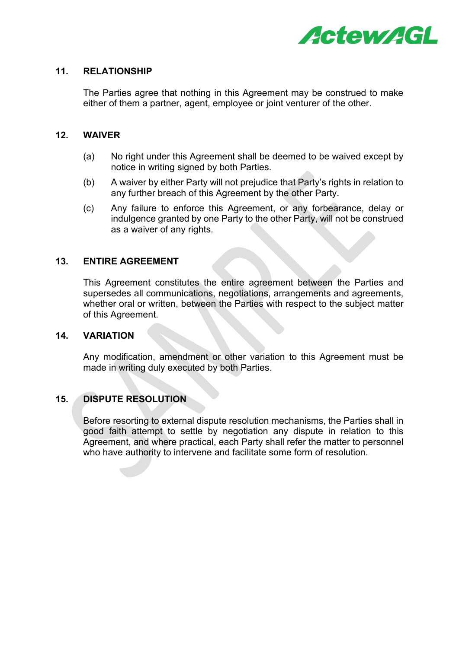

#### **11. RELATIONSHIP**

The Parties agree that nothing in this Agreement may be construed to make either of them a partner, agent, employee or joint venturer of the other.

#### **12. WAIVER**

- (a) No right under this Agreement shall be deemed to be waived except by notice in writing signed by both Parties.
- (b) A waiver by either Party will not prejudice that Party's rights in relation to any further breach of this Agreement by the other Party.
- (c) Any failure to enforce this Agreement, or any forbearance, delay or indulgence granted by one Party to the other Party, will not be construed as a waiver of any rights.

#### **13. ENTIRE AGREEMENT**

This Agreement constitutes the entire agreement between the Parties and supersedes all communications, negotiations, arrangements and agreements, whether oral or written, between the Parties with respect to the subject matter of this Agreement.

#### **14. VARIATION**

Any modification, amendment or other variation to this Agreement must be made in writing duly executed by both Parties.

# **15. DISPUTE RESOLUTION**

Before resorting to external dispute resolution mechanisms, the Parties shall in good faith attempt to settle by negotiation any dispute in relation to this Agreement, and where practical, each Party shall refer the matter to personnel who have authority to intervene and facilitate some form of resolution.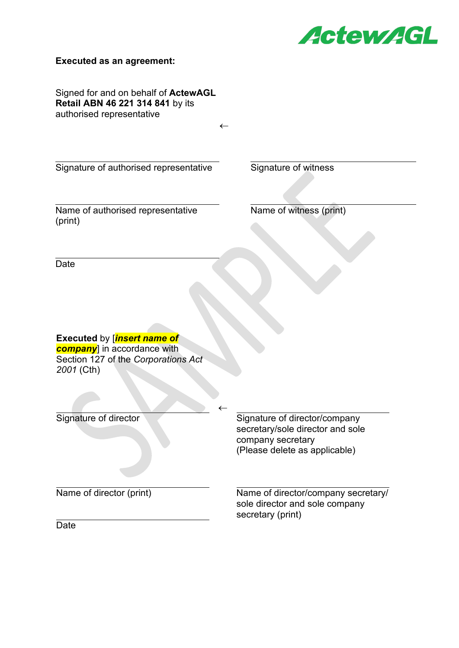

#### **Executed as an agreement:**

Signed for and on behalf of **ActewAGL Retail ABN 46 221 314 841** by its authorised representative

←

←

Signature of authorised representative Signature of witness

Name of authorised representative (print)

Name of witness (print)

Date

**Executed** by [*insert name of company*] in accordance with Section 127 of the *Corporations Act 2001* (Cth)

Signature of director Signature of director/company secretary/sole director and sole company secretary (Please delete as applicable)

Name of director (print) Name of director/company secretary/ sole director and sole company secretary (print)

**Date**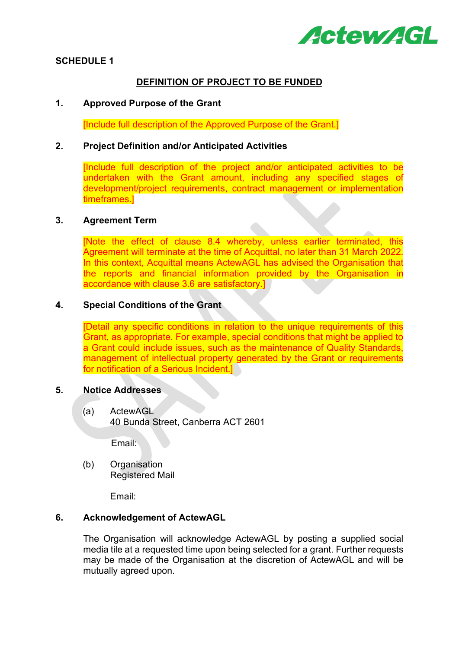

# **SCHEDULE 1**

#### **DEFINITION OF PROJECT TO BE FUNDED**

#### **1. Approved Purpose of the Grant**

[Include full description of the Approved Purpose of the Grant.]

#### **2. Project Definition and/or Anticipated Activities**

[Include full description of the project and/or anticipated activities to be undertaken with the Grant amount, including any specified stages of development/project requirements, contract management or implementation timeframes.]

# **3. Agreement Term**

[Note the effect of clause 8.4 whereby, unless earlier terminated, this Agreement will terminate at the time of Acquittal, no later than 31 March 2022. In this context, Acquittal means ActewAGL has advised the Organisation that the reports and financial information provided by the Organisation in accordance with clause 3.6 are satisfactory.]

#### **4. Special Conditions of the Grant**

[Detail any specific conditions in relation to the unique requirements of this Grant, as appropriate. For example, special conditions that might be applied to a Grant could include issues, such as the maintenance of Quality Standards, management of intellectual property generated by the Grant or requirements for notification of a Serious Incident.]

#### **5. Notice Addresses**

(a) ActewAGL 40 Bunda Street, Canberra ACT 2601

Email:

(b) Organisation Registered Mail

Email:

# **6. Acknowledgement of ActewAGL**

The Organisation will acknowledge ActewAGL by posting a supplied social media tile at a requested time upon being selected for a grant. Further requests may be made of the Organisation at the discretion of ActewAGL and will be mutually agreed upon.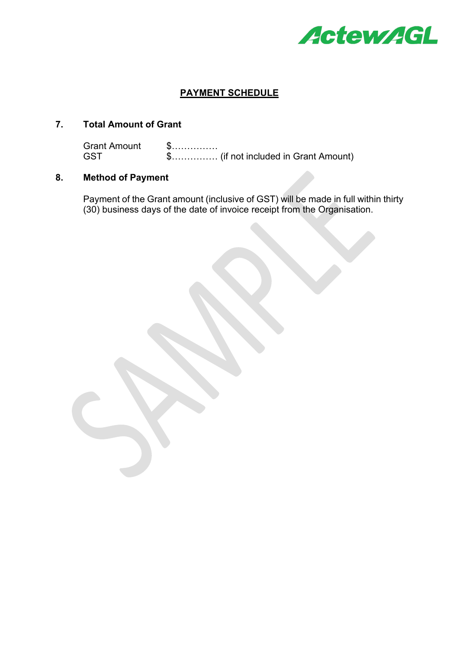

# **PAYMENT SCHEDULE**

# **7. Total Amount of Grant**

Grant Amount \$……………<br>GST \$……………  $$$ ................. (if not included in Grant Amount)

# **8. Method of Payment**

Payment of the Grant amount (inclusive of GST) will be made in full within thirty (30) business days of the date of invoice receipt from the Organisation.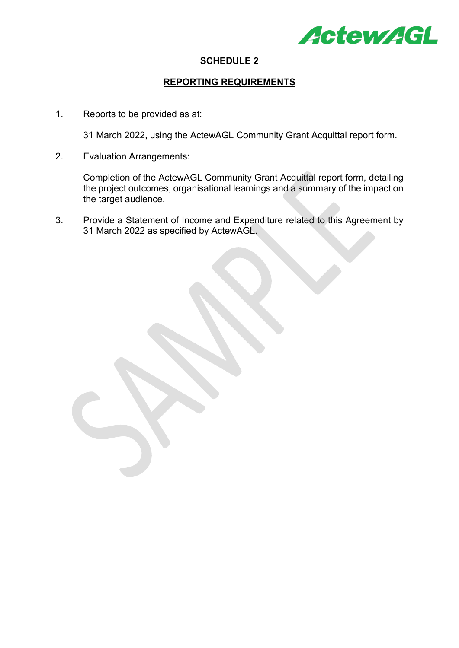

#### **SCHEDULE 2**

#### **REPORTING REQUIREMENTS**

1. Reports to be provided as at:

31 March 2022, using the ActewAGL Community Grant Acquittal report form.

2. Evaluation Arrangements:

Completion of the ActewAGL Community Grant Acquittal report form, detailing the project outcomes, organisational learnings and a summary of the impact on the target audience.

3. Provide a Statement of Income and Expenditure related to this Agreement by 31 March 2022 as specified by ActewAGL.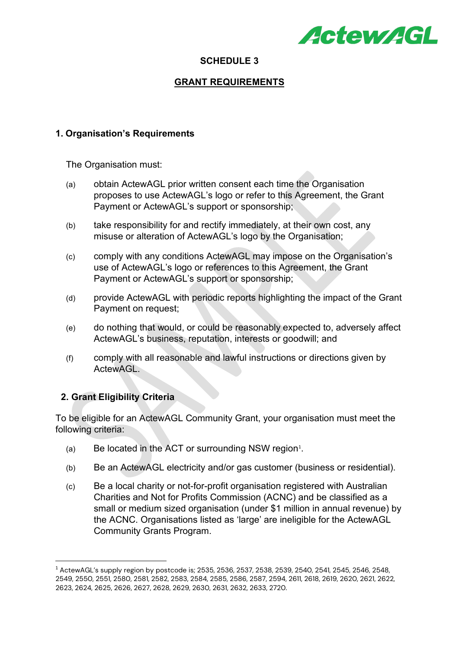

# **SCHEDULE 3**

# **GRANT REQUIREMENTS**

# **1. Organisation's Requirements**

The Organisation must:

- (a) obtain ActewAGL prior written consent each time the Organisation proposes to use ActewAGL's logo or refer to this Agreement, the Grant Payment or ActewAGL's support or sponsorship;
- (b) take responsibility for and rectify immediately, at their own cost, any misuse or alteration of ActewAGL's logo by the Organisation;
- (c) comply with any conditions ActewAGL may impose on the Organisation's use of ActewAGL's logo or references to this Agreement, the Grant Payment or ActewAGL's support or sponsorship;
- (d) provide ActewAGL with periodic reports highlighting the impact of the Grant Payment on request;
- (e) do nothing that would, or could be reasonably expected to, adversely affect ActewAGL's business, reputation, interests or goodwill; and
- (f) comply with all reasonable and lawful instructions or directions given by ActewAGL.

# **2. Grant Eligibility Criteria**

To be eligible for an ActewAGL Community Grant, your organisation must meet the following criteria:

- $(a)$  Be located in the ACT or surrounding NSW region<sup>[1](#page-12-0)</sup>.
- (b) Be an ActewAGL electricity and/or gas customer (business or residential).
- (c) Be a local charity or not-for-profit organisation registered with Australian Charities and Not for Profits Commission (ACNC) and be classified as a small or medium sized organisation (under \$1 million in annual revenue) by the ACNC. Organisations listed as 'large' are ineligible for the ActewAGL Community Grants Program.

<span id="page-12-0"></span><sup>1</sup> ActewAGL's supply region by postcode is; 2535, 2536, 2537, 2538, 2539, 2540, 2541, 2545, 2546, 2548, 2549, 2550, 2551, 2580, 2581, 2582, 2583, 2584, 2585, 2586, 2587, 2594, 2611, 2618, 2619, 2620, 2621, 2622, 2623, 2624, 2625, 2626, 2627, 2628, 2629, 2630, 2631, 2632, 2633, 2720.